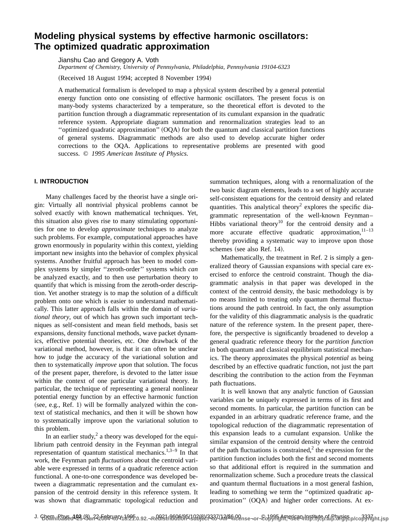# **Modeling physical systems by effective harmonic oscillators: The optimized quadratic approximation**

Jianshu Cao and Gregory A. Voth

*Department of Chemistry, University of Pennsylvania, Philadelphia, Pennsylvania 19104-6323*

(Received 18 August 1994; accepted 8 November 1994)

A mathematical formalism is developed to map a physical system described by a general potential energy function onto one consisting of effective harmonic oscillators. The present focus is on many-body systems characterized by a temperature, so the theoretical effort is devoted to the partition function through a diagrammatic representation of its cumulant expansion in the quadratic reference system. Appropriate diagram summation and renormalization strategies lead to an "optimized quadratic approximation"  $(OQA)$  for both the quantum and classical partition functions of general systems. Diagrammatic methods are also used to develop accurate higher order corrections to the OQA. Applications to representative problems are presented with good success. © *1995 American Institute of Physics.*

## **I. INTRODUCTION**

Many challenges faced by the theorist have a single origin: Virtually all nontrivial physical problems cannot be solved exactly with known mathematical techniques. Yet, this situation also gives rise to many stimulating opportunities for one to develop *approximate* techniques to analyze such problems. For example, computational approaches have grown enormously in popularity within this context, yielding important new insights into the behavior of complex physical systems. Another fruitful approach has been to model complex systems by simpler ''zeroth-order'' systems which *can* be analyzed exactly, and to then use perturbation theory to quantify that which is missing from the zeroth-order description. Yet another strategy is to map the solution of a difficult problem onto one which is easier to understand mathematically. This latter approach falls within the domain of *variational theory*, out of which has grown such important techniques as self-consistent and mean field methods, basis set expansions, density functional methods, wave packet dynamics, effective potential theories, etc. One drawback of the variational method, however, is that it can often be unclear how to judge the accuracy of the variational solution and then to systematically *improve upon* that solution. The focus of the present paper, therefore, is devoted to the latter issue within the context of one particular variational theory. In particular, the technique of representing a general nonlinear potential energy function by an effective harmonic function  $(see, e.g., Ref. 1)$  will be formally analyzed within the context of statistical mechanics, and then it will be shown how to systematically improve upon the variational solution to this problem.

In an earlier study, $^2$  a theory was developed for the equilibrium path centroid density in the Feynman path integral representation of quantum statistical mechanics.<sup>1,3–9</sup> In that work, the Feynman path *fluctuations* about the centroid variable were expressed in terms of a quadratic reference action functional. A one-to-one correspondence was developed between a diagrammatic representation and the cumulant expansion of the centroid density in this reference system. It was shown that diagrammatic topological reduction and summation techniques, along with a renormalization of the two basic diagram elements, leads to a set of highly accurate self-consistent equations for the centroid density and related quantities. This analytical theory<sup>2</sup> explores the specific diagrammatic representation of the well-known Feynman– Hibbs variational theory<sup>10</sup> for the centroid density and a more accurate effective quadratic approximation, $11-13$ thereby providing a systematic way to improve upon those schemes (see also Ref. 14).

Mathematically, the treatment in Ref. 2 is simply a generalized theory of Gaussian expansions with special care exercised to enforce the centroid constraint. Though the diagrammatic analysis in that paper was developed in the context of the centroid density, the basic methodology is by no means limited to treating only quantum thermal fluctuations around the path centroid. In fact, the only assumption for the validity of this diagrammatic analysis is the quadratic nature of the reference system. In the present paper, therefore, the perspective is significantly broadened to develop a general quadratic reference theory for the *partition function* in both quantum and classical equilibrium statistical mechanics. The theory approximates the physical *potential* as being described by an effective quadratic function, not just the part describing the contribution to the action from the Feynman path fluctuations.

It is well known that any analytic function of Gaussian variables can be uniquely expressed in terms of its first and second moments. In particular, the partition function can be expanded in an arbitrary quadratic reference frame, and the topological reduction of the diagrammatic representation of this expansion leads to a cumulant expansion. Unlike the similar expansion of the centroid density where the centroid of the path fluctuations is constrained, $\lambda$ <sup>2</sup> the expression for the partition function includes both the first and second moments so that additional effort is required in the summation and renormalization scheme. Such a procedure treats the classical and quantum thermal fluctuations in a most general fashion, leading to something we term the ''optimized quadratic approximation" (OQA) and higher order corrections. At ex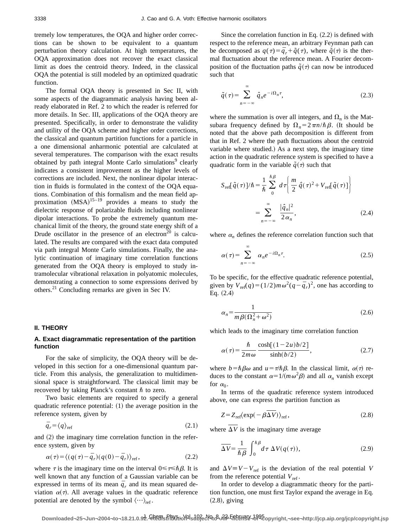tremely low temperatures, the OQA and higher order corrections can be shown to be equivalent to a quantum perturbation theory calculation. At high temperatures, the OQA approximation does not recover the exact classical limit as does the centroid theory. Indeed, in the classical OQA the potential is still modeled by an optimized quadratic function.

The formal OQA theory is presented in Sec II, with some aspects of the diagrammatic analysis having been already elaborated in Ref. 2 to which the reader is referred for more details. In Sec. III, applications of the OQA theory are presented. Specifically, in order to demonstrate the validity and utility of the OQA scheme and higher order corrections, the classical and quantum partition functions for a particle in a one dimensional anharmonic potential are calculated at several temperatures. The comparison with the exact results obtained by path integral Monte Carlo simulations<sup>9</sup> clearly indicates a consistent improvement as the higher levels of corrections are included. Next, the nonlinear dipolar interaction in fluids is formulated in the context of the OQA equations. Combination of this formalism and the mean field approximation  $(MSA)^{15-19}$  provides a means to study the dielectric response of polarizable fluids including nonlinear dipolar interactions. To probe the extremely quantum mechanical limit of the theory, the ground state energy shift of a Drude oscillator in the presence of an electron<sup>20</sup> is calculated. The results are compared with the exact data computed via path integral Monte Carlo simulations. Finally, the analytic continuation of imaginary time correlation functions generated from the OQA theory is employed to study intramolecular vibrational relaxation in polyatomic molecules, demonstrating a connection to some expressions derived by others.<sup>21</sup> Concluding remarks are given in Sec IV.

## **II. THEORY**

# **A. Exact diagrammatic representation of the partition function**

For the sake of simplicity, the OQA theory will be developed in this section for a one-dimensional quantum particle. From this analysis, the generalization to multidimensional space is straightforward. The classical limit may be recovered by taking Planck's constant  $\hbar$  to zero.

Two basic elements are required to specify a general quadratic reference potential:  $(1)$  the average position in the reference system, given by

$$
\bar{q}_r = \langle q \rangle_{\text{ref}} \tag{2.1}
$$

and  $(2)$  the imaginary time correlation function in the reference system, given by

$$
\alpha(\tau) = \langle (q(\tau) - \bar{q}_r)(q(0) - \bar{q}_r) \rangle_{\text{ref}},\tag{2.2}
$$

where  $\tau$  is the imaginary time on the interval  $0 \le \tau \le \hbar \beta$ . It is well known that any function of a Gaussian variable can be expressed in terms of its mean  $\bar{q}_r$  and its mean squared deviation  $\alpha(\tau)$ . All average values in the quadratic reference potential are denoted by the symbol  $\langle \cdots \rangle_{\text{ref}}$ .

Since the correlation function in Eq.  $(2.2)$  is defined with respect to the reference mean, an arbitrary Feynman path can be decomposed as  $q(\tau) = \bar{q}_r + \tilde{q}(\tau)$ , where  $\tilde{q}(\tau)$  is the thermal fluctuation about the reference mean. A Fourier decomposition of the fluctuation paths  $\tilde{q}(\tau)$  can now be introduced such that

$$
\tilde{q}(\tau) = \sum_{n = -\infty}^{\infty} \hat{q}_n e^{-i\Omega_n \tau},
$$
\n(2.3)

where the summation is over all integers, and  $\Omega_n$  is the Matsubara frequency defined by  $\Omega_n = 2\pi n/\hbar \beta$ . (It should be noted that the above path decomposition is different from that in Ref. 2 where the path fluctuations about the centroid variable where studied.) As a next step, the imaginary time action in the quadratic reference system is specified to have a quadratic form in the variable  $\tilde{q}(\tau)$  such that

$$
S_{\text{ref}}[\tilde{q}(\tau)]/\hbar = \frac{1}{\hbar} \sum_{0}^{\hbar \beta} d\tau \left\{ \frac{m}{2} \tilde{q}(\tau)^{2} + V_{\text{ref}}[\tilde{q}(\tau)] \right\}
$$

$$
= \sum_{n=-\infty}^{\infty} \frac{|\hat{q}_{n}|^{2}}{2\alpha_{n}},
$$
(2.4)

where  $\alpha_n$  defines the reference correlation function such that

$$
\alpha(\tau) = \sum_{n=-\infty}^{\infty} \alpha_n e^{-i\Omega_n \tau}.
$$
\n(2.5)

To be specific, for the effective quadratic reference potential, given by  $V_{ref}(q) = (1/2)m\omega^2(q-\bar{q}_r)^2$ , one has according to Eq.  $(2.4)$ 

$$
\alpha_n = \frac{1}{m\beta(\Omega_n^2 + \omega^2)}\tag{2.6}
$$

which leads to the imaginary time correlation function

$$
\alpha(\tau) = \frac{\hbar}{2m\omega} \frac{\cosh[(1-2u)b/2]}{\sinh(b/2)},
$$
\n(2.7)

where  $b = \hbar \beta \omega$  and  $u = \tau/\hbar \beta$ . In the classical limit,  $\alpha(\tau)$  reduces to the constant  $\alpha=1/(m\omega^2\beta)$  and all  $\alpha_n$  vanish except for  $\alpha_0$ .

In terms of the quadratic reference system introduced above, one can express the partition function as

$$
Z = Z_{\text{ref}} \langle \exp(-\beta \overline{\Delta V}) \rangle_{\text{ref}}, \qquad (2.8)
$$

where  $\Delta V$  is the imaginary time average

$$
\overline{\Delta V} = \frac{1}{\hbar \beta} \int_0^{\hbar \beta} d\tau \, \Delta V(q(\tau)), \tag{2.9}
$$

and  $\Delta V \equiv V - V_{ref}$  is the deviation of the real potential *V* from the reference potential  $V_{ref}$ .

In order to develop a diagrammatic theory for the partition function, one must first Taylor expand the average in Eq.  $(2.8)$ , giving

Downloaded¬25¬Jun¬2004¬to¬18.21.0.92.<del>-R@ms后MAioYPIsuDCecPv&AAPFReM3V-895</del>opyright,¬see¬http://jcp.aip.org/jcp/copyright.jsp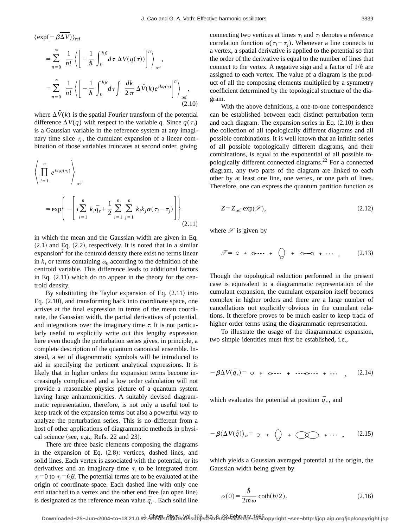$$
\langle \exp(-\beta \Delta V) \rangle_{\text{ref}}
$$
  
=  $\sum_{n=0}^{\infty} \frac{1}{n!} \left\langle \left[ -\frac{1}{\hbar} \int_{0}^{\hbar \beta} d\tau \Delta V(q(\tau)) \right]^{n} \right\rangle_{\text{ref}}$ ,  
=  $\sum_{n=0}^{\infty} \frac{1}{n!} \left\langle \left[ -\frac{1}{\hbar} \int_{0}^{\hbar \beta} d\tau \int \frac{dk}{2\pi} \Delta \hat{V}(k) e^{ikq(\tau)} \right]^{n} \right\rangle_{\text{ref}}$ , (2.10)

where  $\Delta \hat{V}(k)$  is the spatial Fourier transform of the potential difference  $\Delta V(q)$  with respect to the variable *q*. Since  $q(\tau_i)$ is a Gaussian variable in the reference system at any imaginary time slice  $\tau_i$ , the cumulant expansion of a linear combination of those variables truncates at second order, giving

$$
\left\langle \prod_{i=1}^{n} e^{ik_i q(\tau_i)} \right\rangle_{\text{ref}}
$$
  
=  $\exp \left\{ - \left[ i \sum_{i=1}^{n} k_i \bar{q}_r + \frac{1}{2} \sum_{i=1}^{n} \sum_{j=1}^{n} k_i k_j \alpha(\tau_i - \tau_j) \right] \right\}$  (2.11)

in which the mean and the Gaussian width are given in Eq.  $(2.1)$  and Eq.  $(2.2)$ , respectively. It is noted that in a similar expansion<sup>2</sup> for the centroid density there exist no terms linear in  $k_i$  or terms containing  $\alpha_0$  according to the definition of the centroid variable. This difference leads to additional factors in Eq.  $(2.11)$  which do no appear in the theory for the centroid density.

By substituting the Taylor expansion of Eq.  $(2.11)$  into Eq.  $(2.10)$ , and transforming back into coordinate space, one arrives at the final expression in terms of the mean coordinate, the Gaussian width, the partial derivatives of potential, and integrations over the imaginary time  $\tau$ . It is not particularly useful to explicitly write out this lengthy expression here even though the perturbation series gives, in principle, a complete description of the quantum canonical ensemble. Instead, a set of diagrammatic symbols will be introduced to aid in specifying the pertinent analytical expressions. It is likely that in higher orders the expansion terms become increasingly complicated and a low order calculation will not provide a reasonable physics picture of a quantum system having large anharmonicities. A suitably devised diagrammatic representation, therefore, is not only a useful tool to keep track of the expansion terms but also a powerful way to analyze the perturbation series. This is no different from a host of other applications of diagrammatic methods in physical science (see, e.g., Refs.  $22$  and  $23$ ).

There are three basic elements composing the diagrams in the expansion of Eq.  $(2.8)$ : vertices, dashed lines, and solid lines. Each vertex is associated with the potential, or its derivatives and an imaginary time  $\tau_i$  to be integrated from  $\tau_i=0$  to  $\tau_i=\hbar\beta$ . The potential terms are to be evaluated at the origin of coordinate space. Each dashed line with only one end attached to a vertex and the other end free (an open line) is designated as the reference mean value  $\bar{q}_r$ . Each solid line connecting two vertices at times  $\tau_i$  and  $\tau_j$  denotes a reference

correlation function  $\alpha(\tau_i - \tau_j)$ . Whenever a line connects to a vertex, a spatial derivative is applied to the potential so that the order of the derivative is equal to the number of lines that connect to the vertex. A negative sign and a factor of  $1/\hbar$  are assigned to each vertex. The value of a diagram is the product of all the composing elements multiplied by a symmetry coefficient determined by the topological structure of the diagram.

With the above definitions, a one-to-one correspondence can be established between each distinct perturbation term and each diagram. The expansion series in Eq.  $(2.10)$  is then the collection of all topologically different diagrams and all possible combinations. It is well known that an infinite series of all possible topologically different diagrams, and their combinations, is equal to the exponential of all possible topologically different connected diagrams.22 For a connected diagram, any two parts of the diagram are linked to each other by at least one line, one vertex, or one path of lines. Therefore, one can express the quantum partition function as

$$
Z = Z_{\text{ref}} \exp(\mathcal{F}), \qquad (2.12)
$$

where  $\mathscr F$  is given by

$$
\mathcal{F} = 0 + 0 \cdots + \bigcirc + 0 \cdot 0 + \cdots \qquad (2.13)
$$

Though the topological reduction performed in the present case is equivalent to a diagrammatic representation of the cumulant expansion, the cumulant expansion itself becomes complex in higher orders and there are a large number of cancellations not explicitly obvious in the cumulant relations. It therefore proves to be much easier to keep track of higher order terms using the diagrammatic representation.

To illustrate the usage of the diagrammatic expansion, two simple identities must first be established, i.e.,

$$
-\beta \Delta V(\bar{q}_r) = 0 + 0 \cdots + \cdots + 0 \cdots + \cdots , \qquad (2.14)
$$

which evaluates the potential at position  $\bar{q}_r$ , and

$$
-\beta \langle \Delta V(\tilde{q}) \rangle_{\alpha} = 0 + \bigcirc \ \ + \ \bigcirc \ \ \ \times \ \ \ \times \ \ . \tag{2.15}
$$

which yields a Gaussian averaged potential at the origin, the Gaussian width being given by

$$
\alpha(0) = \frac{\hbar}{2m\omega} \coth(b/2). \tag{2.16}
$$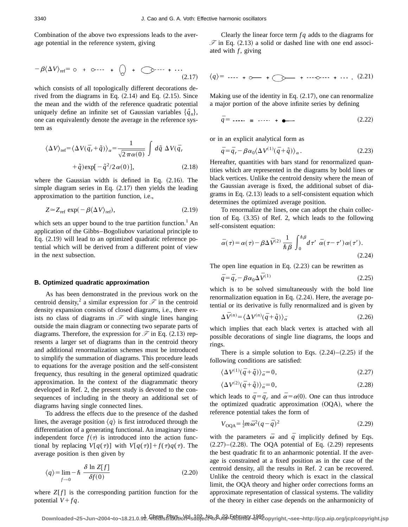Combination of the above two expressions leads to the average potential in the reference system, giving

$$
-\beta \langle \Delta V \rangle_{\text{ref}} = 0 + 0 \cdots + \bigcirc + \bigcirc + \bigcirc - \cdots + \cdots
$$
\n(2.17)

which consists of all topologically different decorations derived from the diagrams in Eq.  $(2.14)$  and Eq.  $(2.15)$ . Since the mean and the width of the reference quadratic potential uniquely define an infinite set of Gaussian variables  $\{\hat{q}_n\},\$ one can equivalently denote the average in the reference system as

$$
\langle \Delta V \rangle_{\text{ref}} = \langle \Delta V(\bar{q}_r + \tilde{q}) \rangle_{\alpha} = \frac{1}{\sqrt{2\pi\alpha(0)}} \int d\tilde{q} \ \Delta V(\bar{q}_r + \tilde{q}) \exp[-\tilde{q}^2/2\alpha(0)], \qquad (2.18)
$$

where the Gaussian width is defined in Eq.  $(2.16)$ . The simple diagram series in Eq.  $(2.17)$  then yields the leading approximation to the partition function, i.e.,

$$
Z \approx Z_{\text{ref}} \exp(-\beta \langle \Delta V \rangle_{\text{ref}}), \tag{2.19}
$$

which sets an upper bound to the true partition function.<sup>1</sup> An application of the Gibbs–Bogoliubov variational principle to Eq.  $(2.19)$  will lead to an optimized quadratic reference potential which will be derived from a different point of view in the next subsection.

### **B. Optimized quadratic approximation**

As has been demonstrated in the previous work on the centroid density,<sup>2</sup> a similar expression for  $\mathcal F$  in the centroid density expansion consists of closed diagrams, i.e., there exists no class of diagrams in *F* with single lines hanging outside the main diagram or connecting two separate parts of diagrams. Therefore, the expression for  $\mathcal F$  in Eq. (2.13) represents a larger set of diagrams than in the centroid theory and additional renormalization schemes must be introduced to simplify the summation of diagrams. This procedure leads to equations for the average position and the self-consistent frequency, thus resulting in the general optimized quadratic approximation. In the context of the diagrammatic theory developed in Ref. 2, the present study is devoted to the consequences of including in the theory an additional set of diagrams having single connected lines.

To address the effects due to the presence of the dashed lines, the average position  $\langle q \rangle$  is first introduced through the differentiation of a generating functional. An imaginary timeindependent force  $f(\tau)$  is introduced into the action functional by replacing  $V[q(\tau)]$  with  $V[q(\tau)]+f(\tau)q(\tau)$ . The average position is then given by

$$
\langle q \rangle = \lim_{f \to 0} -\hbar \frac{\delta \ln Z[f]}{\delta f(0)} \tag{2.20}
$$

where *Z*[*f*] is the corresponding partition function for the potential  $V+fq$ .

Clearly the linear force term *f q* adds to the diagrams for  $\mathscr F$  in Eq. (2.13) a solid or dashed line with one end associated with *f*, giving

$$
\langle q \rangle = \cdots + \circ \longrightarrow + \circ \longrightarrow + \cdots + \cdots + \cdots. (2.21)
$$

Making use of the identity in Eq.  $(2.17)$ , one can renormalize a major portion of the above infinite series by defining

$$
\bar{q} = \dots \quad = \quad \dots \quad + \quad \bullet \qquad (2.22)
$$

or in an explicit analytical form as

$$
\bar{q} = \bar{q}_r - \beta \alpha_0 \langle \Delta V^{(1)}(\bar{q} + \tilde{q}) \rangle_\alpha. \tag{2.23}
$$

Hereafter, quantities with bars stand for renormalized quantities which are represented in the diagrams by bold lines or black vertices. Unlike the centroid density where the mean of the Gaussian average is fixed, the additional subset of diagrams in Eq.  $(2.13)$  leads to a self-consistent equation which determines the optimized average position.

To renormalize the lines, one can adopt the chain collection of Eq.  $(3.35)$  of Ref. 2, which leads to the following self-consistent equation:

$$
\bar{\alpha}(\tau) = \alpha(\tau) - \beta \Delta \bar{V}^{(2)} \frac{1}{\hbar \beta} \int_0^{\hbar \beta} d\tau' \ \bar{\alpha}(\tau - \tau') \alpha(\tau'). \tag{2.24}
$$

The open line equation in Eq.  $(2.23)$  can be rewritten as

$$
\bar{q} = \bar{q}_r - \beta \alpha_0 \Delta \bar{V}^{(1)} \tag{2.25}
$$

which is to be solved simultaneously with the bold line renormalization equation in Eq.  $(2.24)$ . Here, the average potential or its derivative is fully renormalized and is given by

$$
\Delta \bar{V}^{(n)} = \langle \Delta V^{(n)}(\bar{q} + \tilde{q}) \rangle_{\bar{\alpha}} \tag{2.26}
$$

which implies that each black vertex is attached with all possible decorations of single line diagrams, the loops and rings.

There is a simple solution to Eqs.  $(2.24)$ – $(2.25)$  if the following conditions are satisfied:

$$
\langle \Delta V^{(1)}(\bar{q} + \tilde{q}) \rangle_{\tilde{\alpha}} = 0, \tag{2.27}
$$

$$
\langle \Delta V^{(2)}(\bar{q} + \tilde{q}) \rangle_{\tilde{\alpha}} = 0, \tag{2.28}
$$

which leads to  $\bar{q} = \bar{q}_r$  and  $\bar{\alpha} = \alpha(0)$ . One can thus introduce the optimized quadratic approximation  $(OQA)$ , where the reference potential takes the form of

$$
V_{\text{OQA}} = \frac{1}{2} m \,\bar{\omega}^2 (q - \bar{q})^2 \tag{2.29}
$$

with the parameters  $\bar{\omega}$  and  $\bar{q}$  implicitly defined by Eqs.  $(2.27)$ – $(2.28)$ . The OQA potential of Eq.  $(2.29)$  represents the best quadratic fit to an anharmonic potential. If the average is constrained at a fixed position as in the case of the centroid density, all the results in Ref. 2 can be recovered. Unlike the centroid theory which is exact in the classical limit, the OQA theory and higher order corrections forms an approximate representation of classical systems. The validity of the theory in either case depends on the anharmonicity of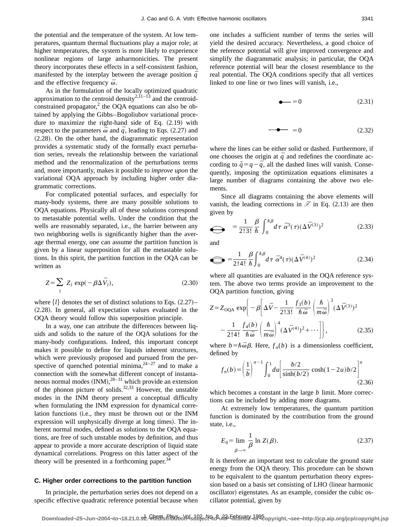the potential and the temperature of the system. At low temperatures, quantum thermal fluctuations play a major role; at higher temperatures, the system is more likely to experience nonlinear regions of large anharmonicities. The present theory incorporates these effects in a self-consistent fashion, manifested by the interplay between the average position  $\bar{q}$ and the effective frequency  $\bar{\omega}$ .

As in the formulation of the locally optimized quadratic approximation to the centroid density<sup>2,11–13</sup> and the centroidconstrained propagator, $2$  the OQA equations can also be obtained by applying the Gibbs–Bogoliubov variational procedure to maximize the right-hand side of Eq.  $(2.19)$  with respect to the parameters  $\bar{\omega}$  and  $\bar{q}$ , leading to Eqs. (2.27) and  $(2.28)$ . On the other hand, the diagrammatic representation provides a systematic study of the formally exact perturbation series, reveals the relationship between the variational method and the renormalization of the perturbations terms and, more importantly, makes it possible to *improve upon* the variational OQA approach by including higher order diagrammatic corrections.

For complicated potential surfaces, and especially for many-body systems, there are many possible solutions to OQA equations. Physically all of these solutions correspond to metastable potential wells. Under the condition that the wells are reasonably separated, i.e., the barrier between any two neighboring wells is significantly higher than the average thermal energy, one can assume the partition function is given by a linear superposition for all the metastable solutions. In this spirit, the partition function in the OQA can be written as

$$
Z = \sum_{l} Z_{l} \exp(-\beta \Delta \bar{V}_{l}), \qquad (2.30)
$$

where  $\{l\}$  denotes the set of distinct solutions to Eqs.  $(2.27)$ –  $(2.28)$ . In general, all expectation values evaluated in the OQA theory would follow this superposition principle.

In a way, one can attribute the differences between liquids and solids to the nature of the OQA solutions for the many-body configurations. Indeed, this important concept makes it possible to define for liquids inherent structures, which were previously proposed and pursued from the perspective of quenched potential minima,  $2^{4-27}$  and to make a connection with the somewhat different concept of instantaneous normal modes  $(INM)$ ,  $^{28-31}$  which provide an extension of the phonon picture of solids.<sup>32,33</sup> However, the unstable modes in the INM theory present a conceptual difficulty when formulating the INM expression for dynamical correlation functions (i.e., they must be thrown out or the INM expression will unphysically diverge at long times). The inherent normal modes, defined as solutions to the OQA equations, are free of such unstable modes by definition, and thus appear to provide a more accurate description of liquid state dynamical correlations. Progress on this latter aspect of the theory will be presented in a forthcoming paper. $34$ 

#### **C. Higher order corrections to the partition function**

In principle, the perturbation series does not depend on a specific effective quadratic reference potential because when one includes a sufficient number of terms the series will yield the desired accuracy. Nevertheless, a good choice of the reference potential will give improved convergence and simplify the diagrammatic analysis; in particular, the OQA reference potential will bear the closest resemblance to the real potential. The OQA conditions specify that all vertices linked to one line or two lines will vanish, i.e.,

$$
\bullet \quad \quad \bullet \quad \quad \bullet \quad \quad \text{(2.31)}
$$

$$
\bullet \bullet = 0 \tag{2.32}
$$

where the lines can be either solid or dashed. Furthermore, if one chooses the origin at  $\bar{q}$  and redefines the coordinate according to  $\tilde{q} = q - \bar{q}$ , all the dashed lines will vanish. Consequently, imposing the optimization equations eliminates a large number of diagrams containing the above two elements.

Since all diagrams containing the above elements will vanish, the leading corrections in  $\mathcal F$  in Eq. (2.13) are then given by

$$
\sum_{\ell=1}^{\infty} \frac{1}{2!3!} \frac{\beta}{\hbar} \int_0^{\hbar \beta} d\tau \, \bar{\alpha}^3(\tau) (\Delta \bar{V}^{(3)})^2 \tag{2.33}
$$

and

$$
\bigotimes = \frac{1}{2!4!} \frac{\beta}{\hbar} \int_0^{\hbar \beta} d\tau \; \bar{\alpha}^4(\tau) (\Delta \bar{V}^{(4)})^2 \tag{2.34}
$$

where all quantities are evaluated in the OQA reference system. The above two terms provide an improvement to the OQA partition function, giving

$$
Z = Z_{\text{OQA}} \exp\left\{-\beta \left[\Delta \bar{V} - \frac{1}{2!3!} \frac{f_3(b)}{\hbar \bar{\omega}} \left(\frac{\hbar}{m \bar{\omega}}\right)^3 (\Delta \bar{V}^{(3)})^2 - \frac{1}{2!4!} \frac{f_4(b)}{\hbar \bar{\omega}} \left(\frac{\hbar}{m \bar{\omega}}\right)^4 (\Delta \bar{V}^{(4)})^2 + \cdots \right] \right\},\tag{2.35}
$$

where  $b = \hbar \bar{\omega} \beta$ . Here,  $f_n(b)$  is a dimensionless coefficient, defined by

$$
f_n(b) = \left(\frac{1}{b}\right)^{n-1} \int_0^1 du \left[\frac{b/2}{\sinh(b/2)} \cosh(1-2u)b/2\right]^n
$$
\n(2.36)

which becomes a constant in the large *b* limit. More corrections can be included by adding more diagrams.

At extremely low temperatures, the quantum partition function is dominated by the contribution from the ground state, i.e.,

$$
E_0 = \lim_{\beta \to \infty} \frac{1}{\beta} \ln Z(\beta). \tag{2.37}
$$

It is therefore an important test to calculate the ground state energy from the OQA theory. This procedure can be shown to be equivalent to the quantum perturbation theory expression based on a basis set consisting of LHO (linear harmonic oscillator) eigenstates. As an example, consider the cubic oscillator potential, given by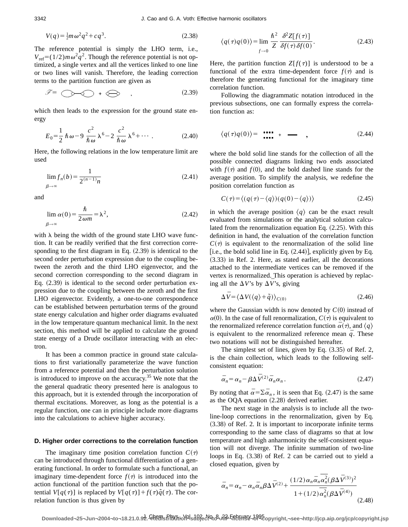$$
V(q) = \frac{1}{2}m\,\omega^2 q^2 + c\,q^3. \tag{2.38}
$$

The reference potential is simply the LHO term, i.e.,  $V_{\text{ref}} = (1/2) m \omega^2 q^2$ . Though the reference potential is not optimized, a single vertex and all the vertices linked to one line or two lines will vanish. Therefore, the leading correction terms to the partition function are given as

$$
\mathscr{F} = \bigcirc \circ \bigcirc \bullet \qquad \qquad , \qquad \qquad (2.39)
$$

which then leads to the expression for the ground state energy

$$
E_0 = \frac{1}{2} \hbar \omega - 9 \frac{c^2}{\hbar \omega} \lambda^6 - 2 \frac{c^2}{\hbar \omega} \lambda^6 + \cdots
$$
 (2.40)

Here, the following relations in the low temperature limit are used

$$
\lim_{\beta \to \infty} f_n(b) = \frac{1}{2^{(n-1)}n} \tag{2.41}
$$

and

$$
\lim_{\beta \to \infty} \alpha(0) = \frac{\hbar}{2 \omega m} = \lambda^2,
$$
\n(2.42)

with  $\lambda$  being the width of the ground state LHO wave function. It can be readily verified that the first correction corresponding to the first diagram in Eq.  $(2.39)$  is identical to the second order perturbation expression due to the coupling between the zeroth and the third LHO eigenvector, and the second correction corresponding to the second diagram in Eq.  $(2.39)$  is identical to the second order perturbation expression due to the coupling between the zeroth and the first LHO eigenvector. Evidently, a one-to-one correspondence can be established between perturbation terms of the ground state energy calculation and higher order diagrams evaluated in the low temperature quantum mechanical limit. In the next section, this method will be applied to calculate the ground state energy of a Drude oscillator interacting with an electron.

It has been a common practice in ground state calculations to first variationally parameterize the wave function from a reference potential and then the perturbation solution is introduced to improve on the accuracy.<sup>35</sup> We note that the the general quadratic theory presented here is analogous to this approach, but it is extended through the incorporation of thermal excitations. Moreover, as long as the potential is a regular function, one can in principle include more diagrams into the calculations to achieve higher accuracy.

#### **D. Higher order corrections to the correlation function**

The imaginary time position correlation function  $C(\tau)$ can be introduced through functional differentiation of a generating functional. In order to formulate such a functional, an imaginary time-dependent force  $f(\tau)$  is introduced into the action functional of the partition function such that the potential *V*[ $q(\tau)$ ] is replaced by *V*[ $q(\tau)$ ]+ $f(\tau)q(\tau)$ . The correlation function is thus given by

$$
\langle q(\tau)q(0)\rangle = \lim_{f \to 0} \frac{\hbar^2}{Z} \frac{\delta^2 Z[f(\tau)]}{\delta f(\tau)\delta f(0)}.
$$
 (2.43)

Here, the partition function  $Z[f(\tau)]$  is understood to be a functional of the extra time-dependent force  $f(\tau)$  and is therefore the generating functional for the imaginary time correlation function.

Following the diagrammatic notation introduced in the previous subsections, one can formally express the correlation function as:

$$
\langle q(\tau)q(0)\rangle = \cdots + \cdots \qquad , \qquad (2.44)
$$

where the bold solid line stands for the collection of all the possible connected diagrams linking two ends associated with  $f(\tau)$  and  $f(0)$ , and the bold dashed line stands for the average position. To simplify the analysis, we redefine the position correlation function as

$$
C(\tau) = \langle (q(\tau) - \langle q \rangle)(q(0) - \langle q \rangle) \rangle \tag{2.45}
$$

in which the average position  $\langle q \rangle$  can be the exact result evaluated from simulations or the analytical solution calculated from the renormalization equation Eq.  $(2.25)$ . With this definition in hand, the evaluation of the correlation function  $C(\tau)$  is equivalent to the renormalization of the solid line [i.e., the bold solid line in Eq.  $(2.44)$ ], explicitly given by Eq.  $(3.33)$  in Ref. 2. Here, as stated earlier, all the decorations attached to the intermediate vertices can be removed if the vertex is renormalized. This operation is achieved by replacing all the  $\Delta V$ 's by  $\Delta \bar{V}$ 's, giving

$$
\Delta \bar{V} = \langle \Delta V(\langle q \rangle + \tilde{q}) \rangle_{C(0)} \tag{2.46}
$$

where the Gaussian width is now denoted by  $C(0)$  instead of  $\alpha(0)$ . In the case of full renormalization,  $C(\tau)$  is equivalent to the renormalized reference correlation function  $\bar{\alpha}(\tau)$ , and  $\langle q \rangle$ is equivalent to the renormalized reference mean  $\bar{q}$ . These two notations will not be distinguished hereafter.

The simplest set of lines, given by Eq.  $(3.35)$  of Ref. 2, is the chain collection, which leads to the following selfconsistent equation:

$$
\bar{\alpha}_n = \alpha_n - \beta \Delta \bar{V}^{(2)} \bar{\alpha}_n \alpha_n \,. \tag{2.47}
$$

By noting that  $\bar{\alpha} = \sum \bar{\alpha}_n$ , it is seen that Eq. (2.47) is the same as the OQA equation  $(2.28)$  derived earlier.

The next stage in the analysis is to include all the twoline-loop corrections in the renormalization, given by Eq.  $(3.38)$  of Ref. 2. It is important to incorporate infinite terms corresponding to the same class of diagrams so that at low temperature and high anharmonicity the self-consistent equation will not diverge. The infinite summation of two-line loops in Eq.  $(3.38)$  of Ref. 2 can be carried out to yield a closed equation, given by

$$
\bar{\alpha}_n = \alpha_n - \alpha_n \bar{\alpha}_n \beta \Delta \bar{V}^{(2)} + \frac{(1/2) \alpha_n \bar{\alpha}_n \overline{\alpha}_n^2 (\beta \Delta \bar{V}^{(3)})^2}{1 + (1/2) \overline{\alpha}_n^2 (\beta \Delta \bar{V}^{(4)})}
$$
(2.48)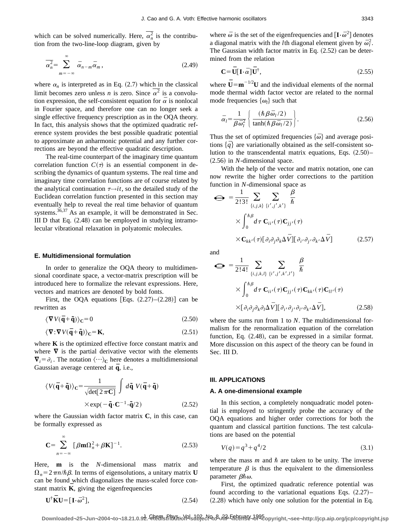which can be solved numerically. Here,  $\alpha_n^2$  is the contribution from the two-line-loop diagram, given by

$$
\overline{\alpha_n^2} = \sum_{m = -\infty}^{\infty} \bar{\alpha}_{n-m} \bar{\alpha}_m, \qquad (2.49)
$$

where  $\alpha_n$  is interpreted as in Eq. (2.7) which in the classical limit becomes zero unless *n* is zero. Since  $\overline{\alpha^2}$  is a convolution expression, the self-consistent equation for  $\bar{\alpha}$  is nonlocal in Fourier space, and therefore one can no longer seek a single effective frequency prescription as in the OQA theory. In fact, this analysis shows that the optimized quadratic reference system provides the best possible quadratic potential to approximate an anharmonic potential and any further corrections are beyond the effective quadratic description.

The real-time counterpart of the imaginary time quantum correlation function  $C(\tau)$  is an essential component in describing the dynamics of quantum systems. The real time and imaginary time correlation functions are of course related by the analytical continuation  $\tau \rightarrow it$ , so the detailed study of the Euclidean correlation function presented in this section may eventually help to reveal the real time behavior of quantum systems.<sup>36,37</sup> As an example, it will be demonstrated in Sec. III D that Eq.  $(2.48)$  can be employed in studying intramolecular vibrational relaxation in polyatomic molecules.

### **E. Multidimensional formulation**

In order to generalize the OQA theory to multidimensional coordinate space, a vector-matrix prescription will be introduced here to formalize the relevant expressions. Here, vectors and matrices are denoted by bold fonts.

First, the OQA equations [Eqs.  $(2.27)$ – $(2.28)$ ] can be rewritten as

$$
\langle \mathbf{\nabla} V(\mathbf{\bar{q}} + \mathbf{\tilde{q}}) \rangle_{\mathbf{C}} = 0 \tag{2.50}
$$

$$
\langle \nabla \cdot \nabla V(\mathbf{\bar{q}} + \mathbf{\tilde{q}}) \rangle_{\mathbf{C}} = \mathbf{K},\tag{2.51}
$$

where **K** is the optimized effective force constant matrix and where  $\nabla$  is the partial derivative vector with the elements  $\nabla_i = \partial_i$ . The notation  $\langle \cdots \rangle_C$  here denotes a multidimensional Gaussian average centered at  $\overline{q}$ , i.e.,

$$
\langle V(\bar{\mathbf{q}} + \tilde{\mathbf{q}}) \rangle_{\mathbf{C}} = \frac{1}{\sqrt{\det[2\pi \mathbf{C}]}} \int d\tilde{\mathbf{q}} \ V(\bar{\mathbf{q}} + \tilde{\mathbf{q}})
$$
  
×  $\exp(-\tilde{\mathbf{q}} \cdot \mathbf{C}^{-1} \cdot \tilde{\mathbf{q}}/2)$  (2.52)

where the Gaussian width factor matrix **C**, in this case, can be formally expressed as

$$
\mathbf{C} = \sum_{n=-\infty}^{\infty} \left[ \beta \mathbf{m} \Omega_n^2 + \beta \mathbf{K} \right]^{-1}.
$$
 (2.53)

Here, **m** is the *N*-dimensional mass matrix and  $\Omega_n = 2\pi n/\hbar \beta$ . In terms of eigensolutions, a unitary matrix **U** can be found which diagonalizes the mass-scaled force constant matrix  $K$ , giving the eigenfrequencies

$$
\mathbf{U}^{\dagger} \mathbf{\bar{K}} \mathbf{U} = [\mathbf{I} \cdot \bar{\omega}^2],\tag{2.54}
$$

where  $\bar{\omega}$  is the set of the eigenfrequencies and  $\left[\mathbf{I} \cdot \bar{\omega}^2\right]$  denotes a diagonal matrix with the *l*<sup>th</sup> diagonal element given by  $\bar{\omega}_l^2$ . The Gaussian width factor matrix in Eq.  $(2.52)$  can be determined from the relation

$$
\mathbf{C} = \mathbf{\bar{U}}[\mathbf{I} \cdot \bar{\alpha}] \mathbf{\bar{U}}^{\dagger},\tag{2.55}
$$

where  $\bar{U} = m^{-1/2}U$  and the individual elements of the normal mode thermal width factor vector are related to the normal mode frequencies  $\{\omega_l\}$  such that

$$
\bar{\alpha}_l = \frac{1}{\beta \bar{\omega}_l^2} \left\{ \frac{(\hbar \beta \bar{\omega}_l/2)}{\tanh(\hbar \beta \bar{\omega}_l/2)} \right\}.
$$
\n(2.56)

Thus the set of optimized frequencies  $\{\bar{\omega}\}\$  and average positions  $\{\bar{q}\}\$ are variationally obtained as the self-consistent solution to the transcendental matrix equations, Eqs.  $(2.50)$ –  $(2.56)$  in *N*-dimensional space.

With the help of the vector and matrix notation, one can now rewrite the higher order corrections to the partition function in *N*-dimensional space as

$$
\Theta = \frac{1}{2!3!} \sum_{\{i,j,k\}} \sum_{\{i',j',k'\}} \frac{\beta}{\hbar}
$$
  
 
$$
\times \int_0^{\hbar \beta} d\tau \mathbf{C}_{ii'}(\tau) \mathbf{C}_{jj'}(\tau)
$$
  
 
$$
\times \mathbf{C}_{kk'}(\tau) [\partial_i \partial_j \partial_k \Delta \bar{V}] [\partial_{i'} \partial_{j'} \partial_{k'} \Delta \bar{V}]
$$
 (2.57)

and

$$
\bigotimes = \frac{1}{2!4!} \sum_{\{i,j,k,l\}} \sum_{\{i',j',k',l'\}} \frac{\beta}{\hbar}
$$
  
 
$$
\times \int_0^{\hbar \beta} d\tau \mathbf{C}_{ii'}(\tau) \mathbf{C}_{jj'}(\tau) \mathbf{C}_{kk'}(\tau) \mathbf{C}_{ll'}(\tau)
$$
  
 
$$
\times [\partial_i \partial_j \partial_k \partial_l \Delta \bar{V}] [\partial_{i'} \partial_{j'} \partial_{l'} \partial_{k'} \Delta \bar{V}], \qquad (2.58)
$$

where the sums run from 1 to *N*. The multidimensional formalism for the renormalization equation of the correlation function, Eq.  $(2.48)$ , can be expressed in a similar format. More discussion on this aspect of the theory can be found in Sec. III D.

#### **III. APPLICATIONS**

#### **A. A one-dimensional example**

In this section, a completely nonquadratic model potential is employed to stringently probe the accuracy of the OQA equations and higher order corrections for both the quantum and classical partition functions. The test calculations are based on the potential

$$
V(q) = q^3 + q^4/2\tag{3.1}
$$

where the mass  $m$  and  $\hbar$  are taken to be unity. The inverse temperature  $\beta$  is thus the equivalent to the dimensionless parameter  $\beta\hbar\omega$ .

First, the optimized quadratic reference potential was found according to the variational equations Eqs.  $(2.27)$ –  $(2.28)$  which have only one solution for the potential in Eq.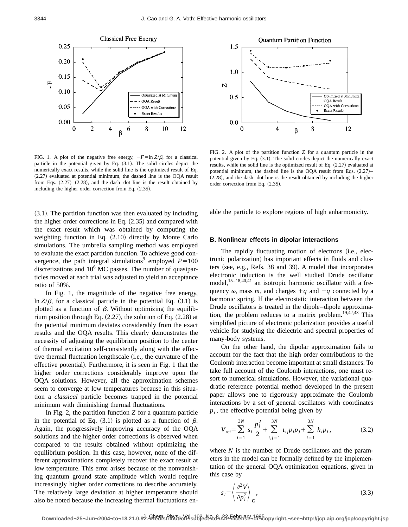

FIG. 1. A plot of the negative free energy,  $-F=\ln Z/\beta$ , for a classical particle in the potential given by Eq.  $(3.1)$ . The solid circles depict the numerically exact results, while the solid line is the optimized result of Eq.  $(2.27)$  evaluated at potential minimum, the dashed line is the OQA result from Eqs.  $(2.27)$ – $(2.28)$ , and the dash–dot line is the result obtained by including the higher order correction from Eq.  $(2.35)$ .

 $(3.1)$ . The partition function was then evaluated by including the higher order corrections in Eq.  $(2.35)$  and compared with the exact result which was obtained by computing the weighting function in Eq.  $(2.10)$  directly by Monte Carlo simulations. The umbrella sampling method was employed to evaluate the exact partition function. To achieve good convergence, the path integral simulations<sup>9</sup> employed  $P=100$ discretizations and  $10^6$  MC passes. The number of quasiparticles moved at each trial was adjusted to yield an acceptance ratio of 50%.

In Fig. 1, the magnitude of the negative free energy,  $\ln Z/\beta$ , for a classical particle in the potential Eq.  $(3.1)$  is plotted as a function of  $\beta$ . Without optimizing the equilibrium position through Eq.  $(2.27)$ , the solution of Eq.  $(2.28)$  at the potential minimum deviates considerably from the exact results and the OQA results. This clearly demonstrates the necessity of adjusting the equilibrium position to the center of thermal excitation self-consistently along with the effective thermal fluctuation lengthscale (i.e., the curvature of the effective potential). Furthermore, it is seen in Fig. 1 that the higher order corrections considerably improve upon the OQA solutions. However, all the approximation schemes seem to converge at low temperatures because in this situation a *classical* particle becomes trapped in the potential minimum with diminishing thermal fluctuations.

In Fig. 2, the partition function *Z* for a quantum particle in the potential of Eq.  $(3.1)$  is plotted as a function of  $\beta$ . Again, the progressively improving accuracy of the OQA solutions and the higher order corrections is observed when compared to the results obtained without optimizing the equilibrium position. In this case, however, none of the different approximations completely recover the exact result at low temperature. This error arises because of the nonvanishing quantum ground state amplitude which would require increasingly higher order corrections to describe accurately. The relatively large deviation at higher temperature should also be noted because the increasing thermal fluctuations en-



FIG. 2. A plot of the partition function *Z* for a quantum particle in the potential given by Eq.  $(3.1)$ . The solid circles depict the numerically exact results, while the solid line is the optimized result of Eq.  $(2.27)$  evaluated at potential minimum, the dashed line is the OQA result from Eqs.  $(2.27)$ –  $(2.28)$ , and the dash–dot line is the result obtained by including the higher order correction from Eq.  $(2.35)$ .

able the particle to explore regions of high anharmonicity.

### **B. Nonlinear effects in dipolar interactions**

The rapidly fluctuating motion of electrons (i.e., electronic polarization) has important effects in fluids and clusters (see, e.g., Refs. 38 and 39). A model that incorporates electronic induction is the well studied Drude oscillator model,<sup>15–18,40,41</sup> an isotropic harmonic oscillator with a frequency  $\omega$ , mass *m*, and charges  $+q$  and  $-q$  connected by a harmonic spring. If the electrostatic interaction between the Drude oscillators is treated in the dipole–dipole approximation, the problem reduces to a matrix problem.<sup>19,42,43</sup> This simplified picture of electronic polarization provides a useful vehicle for studying the dielectric and spectral properties of many-body systems.

On the other hand, the dipolar approximation fails to account for the fact that the high order contributions to the Coulomb interaction become important at small distances. To take full account of the Coulomb interactions, one must resort to numerical simulations. However, the variational quadratic reference potential method developed in the present paper allows one to rigorously approximate the Coulomb interactions by a set of general oscillators with coordinates  $p_i$ , the effective potential being given by

$$
V_{\text{ref}} = \sum_{i=1}^{3N} s_i \frac{p_i^2}{2} + \sum_{i,j=1}^{3N} t_{ij} p_i p_j + \sum_{i=1}^{3N} h_i p_i, \qquad (3.2)
$$

where *N* is the number of Drude oscillators and the parameters in the model can be formally defined by the implementation of the general OQA optimization equations, given in this case by

$$
s_i = \left\langle \frac{\partial^2 V}{\partial p_i^2} \right\rangle_{\mathbf{C}},\tag{3.3}
$$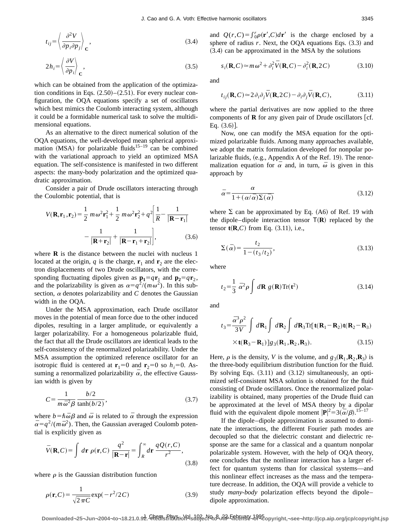$$
t_{ij} = \left\langle \frac{\partial^2 V}{\partial p_i \partial p_j} \right\rangle_{\mathbf{C}},\tag{3.4}
$$

$$
2h_i = \left\langle \frac{\partial V}{\partial p_i} \right\rangle_{\mathbf{C}},\tag{3.5}
$$

which can be obtained from the application of the optimization conditions in Eqs.  $(2.50)$ – $(2.51)$ . For every nuclear configuration, the OQA equations specify a set of oscillators which best mimics the Coulomb interacting system, although it could be a formidable numerical task to solve the multidimensional equations.

As an alternative to the direct numerical solution of the OQA equations, the well-developed mean spherical approximation (MSA) for polarizable fluids<sup>15–19</sup> can be combined with the variational approach to yield an optimized MSA equation. The self-consistence is manifested in two different aspects: the many-body polarization and the optimized quadratic approximation.

Consider a pair of Drude oscillators interacting through the Coulombic potential, that is

$$
V(\mathbf{R}, \mathbf{r}_1, \mathbf{r}_2) = \frac{1}{2} m \omega^2 \mathbf{r}_1^2 + \frac{1}{2} m \omega^2 \mathbf{r}_2^2 + q^2 \left[ \frac{1}{R} - \frac{1}{|\mathbf{R} - \mathbf{r}_1|} - \frac{1}{|\mathbf{R} + \mathbf{r}_2|} + \frac{1}{|\mathbf{R} - \mathbf{r}_1 + \mathbf{r}_2|} \right],
$$
(3.6)

where **R** is the distance between the nuclei with nucleus 1 located at the origin, *q* is the charge,  $\mathbf{r}_1$  and  $\mathbf{r}_2$  are the electron displacements of two Drude oscillators, with the corresponding fluctuating dipoles given as  $\mathbf{p}_1 = q\mathbf{r}_1$  and  $\mathbf{p}_2 = q\mathbf{r}_2$ , and the polarizability is given as  $\alpha=q^2/(m\omega^2)$ . In this subsection,  $\alpha$  denotes polarizability and  $C$  denotes the Gaussian width in the OQA.

Under the MSA approximation, each Drude oscillator moves in the potential of mean force due to the other induced dipoles, resulting in a larger amplitude, or equivalently a larger polarizability. For a homogeneous polarizable fluid, the fact that all the Drude oscillators are identical leads to the self-consistency of the renormalized polarizability. Under the MSA assumption the optimized reference oscillator for an isotropic fluid is centered at  $\mathbf{r}_1=0$  and  $\mathbf{r}_2=0$  so  $h_i=0$ . Assuming a renormalized polarizability  $\bar{\alpha}$ , the effective Gaussian width is given by

$$
C = \frac{1}{m\bar{\omega}^2 \beta} \frac{b/2}{\tanh(b/2)},
$$
\n(3.7)

where  $b = \hbar \bar{\omega} \beta$  and  $\bar{\omega}$  is related to  $\bar{\alpha}$  through the expression  $\bar{\alpha} = q^2/(m\bar{\omega}^2)$ . Then, the Gaussian averaged Coulomb potential is explicitly given as

$$
\bar{V}(\mathbf{R}, C) = \int d\mathbf{r} \, \rho(\mathbf{r}, C) \, \frac{q^2}{|\mathbf{R} - \mathbf{r}|} = \int_R^{\infty} d\mathbf{r} \, \frac{q Q(r, C)}{r^2},\tag{3.8}
$$

where  $\rho$  is the Gaussian distribution function

$$
\rho(\mathbf{r}, C) = \frac{1}{\sqrt{2\pi C}} \exp(-r^2/2C) \tag{3.9}
$$

and  $Q(r, C) = \int_0^r \rho(\mathbf{r}', C) d\mathbf{r}'$  is the charge enclosed by a sphere of radius  $r$ . Next, the OQA equations Eqs.  $(3.3)$  and  $(3.4)$  can be approximated in the MSA by the solutions

$$
s_i(\mathbf{R}, C) \simeq m\omega^2 + \partial_i^2 \bar{V}(\mathbf{R}, C) - \partial_i^2(\mathbf{R}, 2C) \tag{3.10}
$$

and

$$
t_{ij}(\mathbf{R}, C) \approx 2 \partial_i \partial_j \bar{V}(\mathbf{R}, 2C) - \partial_i \partial_j \bar{V}(\mathbf{R}, C), \tag{3.11}
$$

where the partial derivatives are now applied to the three components of  **for any given pair of Drude oscillators [cf.** Eq.  $(3.6)$ ].

Now, one can modify the MSA equation for the optimized polarizable fluids. Among many approaches available, we adopt the matrix formulation developed for nonpolar polarizable fluids,  $(e.g., Appendix A of the Ref. 19)$ . The renormalization equation for  $\bar{\alpha}$  and, in turn,  $\bar{\omega}$  is given in this approach by

$$
\bar{\alpha} = \frac{\alpha}{1 + (\alpha/\bar{\alpha})\Sigma(\bar{\alpha})}
$$
\n(3.12)

where  $\Sigma$  can be approximated by Eq. (A6) of Ref. 19 with the dipole–dipole interaction tensor  $T(R)$  replaced by the tensor  $t(R, C)$  from Eq.  $(3.11)$ , i.e.,

$$
\Sigma(\bar{\alpha}) = \frac{t_2}{1 - (t_3/t_2)},
$$
\n(3.13)

where

$$
t_2 = \frac{1}{3} \bar{\alpha}^2 \rho \int d\mathbf{R} g(\mathbf{R}) \text{Tr}(\mathbf{t}^2)
$$
 (3.14)

and

$$
t_3 = \frac{\bar{\alpha}^3 \rho^2}{3V} \int d\mathbf{R}_1 \int d\mathbf{R}_2 \int d\mathbf{R}_3 \text{Tr}[\mathbf{t}(\mathbf{R}_1 - \mathbf{R}_2) \mathbf{t}(\mathbf{R}_2 - \mathbf{R}_3)
$$
  
×
$$
\mathbf{t}(\mathbf{R}_3 - \mathbf{R}_1) \big] g_3(\mathbf{R}_1, \mathbf{R}_2, \mathbf{R}_3).
$$
 (3.15)

Here,  $\rho$  is the density, *V* is the volume, and  $g_3(\mathbf{R}_1, \mathbf{R}_2, \mathbf{R}_3)$  is the three-body equilibrium distribution function for the fluid. By solving Eqs.  $(3.11)$  and  $(3.12)$  simultaneously, an optimized self-consistent MSA solution is obtained for the fluid consisting of Drude oscillators. Once the renormalized polarizability is obtained, many properties of the Drude fluid can be approximated at the level of MSA theory by a dipolar fluid with the equivalent dipole moment  $|\mathbf{P}|^2 = 3(\bar{\alpha}/\beta)$ .<sup>15–17</sup>

If the dipole–dipole approximation is assumed to dominate the interactions, the different Fourier path modes are decoupled so that the dielectric constant and dielectric response are the same for a classical and a quantum nonpolar polarizable system. However, with the help of OQA theory, one concludes that the nonlinear interaction has a larger effect for quantum systems than for classical systems—and this nonlinear effect increases as the mass and the temperature decrease. In addition, the OQA will provide a vehicle to study *many-body* polarization effects beyond the dipole– dipole approximation.

Downloaded¬25¬Jun¬2004¬to¬18.21.0.92. SReths PhysioYPlsdBfecN%&AP-FRetHav-8995opyright,¬see¬http://jcp.aip.org/jcp/copyright.jsp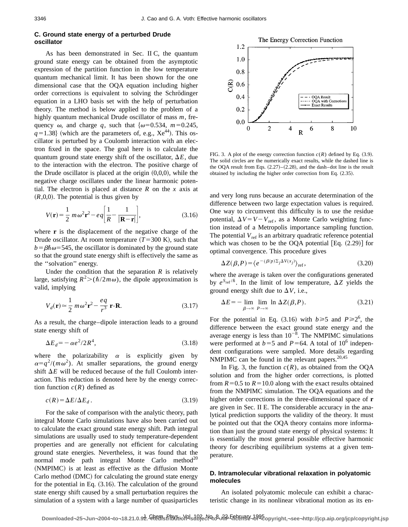## **C. Ground state energy of a perturbed Drude oscillator**

As has been demonstrated in Sec. II C, the quantum ground state energy can be obtained from the asymptotic expression of the partition function in the low temperature quantum mechanical limit. It has been shown for the one dimensional case that the OQA equation including higher order corrections is equivalent to solving the Schrödinger equation in a LHO basis set with the help of perturbation theory. The method is below applied to the problem of a highly quantum mechanical Drude oscillator of mass *m*, frequency  $\omega$ , and charge *q*, such that  $\{\omega=0.534, m=0.245,$  $q=1.38$  (which are the parameters of, e.g., Xe<sup>44</sup>). This oscillator is perturbed by a Coulomb interaction with an electron fixed in the space. The goal here is to calculate the quantum ground state energy shift of the oscillator,  $\Delta E$ , due to the interaction with the electron. The positive charge of the Drude oscillator is placed at the origin  $(0,0,0)$ , while the negative charge oscillates under the linear harmonic potential. The electron is placed at distance *R* on the *x* axis at  $(R,0,0)$ . The potential is thus given by

$$
V(\mathbf{r}) = \frac{1}{2} m \omega^2 \mathbf{r}^2 - eq \left[ \frac{1}{R} - \frac{1}{|\mathbf{R} - \mathbf{r}|} \right],
$$
 (3.16)

where **r** is the displacement of the negative charge of the Drude oscillator. At room temperature  $(T=300 \text{ K})$ , such that  $b = \beta \hbar \omega = 545$ , the oscillator is dominated by the ground state so that the ground state energy shift is effectively the same as the ''solvation'' energy.

Under the condition that the separation  $R$  is relatively large, satisfying  $R^2 > (\hbar/2m\omega)$ , the dipole approximation is valid, implying

$$
V_d(\mathbf{r}) \approx \frac{1}{2} m \omega^2 \mathbf{r}^2 - \frac{eq}{r^3} \mathbf{r} \cdot \mathbf{R}.
$$
 (3.17)

As a result, the charge–dipole interaction leads to a ground state energy shift of

$$
\Delta E_d = -\alpha e^2 / 2R^4,\tag{3.18}
$$

where the polarizability  $\alpha$  is explicitly given by  $\alpha=q^2/(m\omega^2)$ . At smaller separations, the ground energy shift  $\Delta E$  will be reduced because of the full Coulomb interaction. This reduction is denoted here by the energy correction function  $c(R)$  defined as

$$
c(R) = \Delta E / \Delta E_d. \tag{3.19}
$$

For the sake of comparison with the analytic theory, path integral Monte Carlo simulations have also been carried out to calculate the exact ground state energy shift. Path integral simulations are usually used to study temperature-dependent properties and are generally not efficient for calculating ground state energies. Nevertheless, it was found that the normal mode path integral Monte Carlo method $^{20}$ (NMPIMC) is at least as effective as the diffusion Monte Carlo method (DMC) for calculating the ground state energy for the potential in Eq.  $(3.16)$ . The calculation of the ground state energy shift caused by a small perturbation requires the simulation of a system with a large number of quasiparticles



FIG. 3. A plot of the energy correction function  $c(R)$  defined by Eq. (3.9). The solid circles are the numerically exact results, while the dashed line is the OQA result from Eqs.  $(2.27)$ – $(2.28)$ , and the dash–dot line is the result obtained by including the higher order correction from Eq.  $(2.35)$ .

and very long runs because an accurate determination of the difference between two large expectation values is required. One way to circumvent this difficulty is to use the residue potential,  $\Delta V = V - V_{ref}$ , as a Monte Carlo weighting function instead of a Metropolis importance sampling function. The potential  $V_{ref}$  is an arbitrary quadratic reference potential which was chosen to be the OQA potential  $[Eq. (2.29)]$  for optimal convergence. This procedure gives

$$
\Delta Z(\beta, P) = \langle e^{-(\beta/p)\Sigma_j \Delta V(x_j)} \rangle_{\text{ref}},\tag{3.20}
$$

where the average is taken over the configurations generated by  $e^{S_{\text{ref}}/\hbar}$ . In the limit of low temperature,  $\Delta Z$  yields the ground energy shift due to  $\Delta V$ , i.e.,

$$
\Delta E = - \lim_{\beta \to \infty} \lim_{P \to \infty} \ln \Delta Z(\beta, P). \tag{3.21}
$$

For the potential in Eq. (3.16) with  $b \ge 5$  and  $P \ge 2^6$ , the difference between the exact ground state energy and the average energy is less than  $10^{-8}$ . The NMPIMC simulations were performed at  $b=5$  and  $P=64$ . A total of 10<sup>6</sup> independent configurations were sampled. More details regarding NMPIMC can be found in the relevant papers. $20,45$ 

In Fig. 3, the function  $c(R)$ , as obtained from the OQA solution and from the higher order corrections, is plotted from  $R=0.5$  to  $R=10.0$  along with the exact results obtained from the NMPIMC simulation. The OQA equations and the higher order corrections in the three-dimensional space of **r** are given in Sec. II E. The considerable accuracy in the analytical prediction supports the validity of the theory. It must be pointed out that the OQA theory contains more information than just the ground state energy of physical systems: It is essentially the most general possible effective harmonic theory for describing equilibrium systems at a given temperature.

## **D. Intramolecular vibrational relaxation in polyatomic molecules**

An isolated polyatomic molecule can exhibit a characteristic change in its nonlinear vibrational motion as its en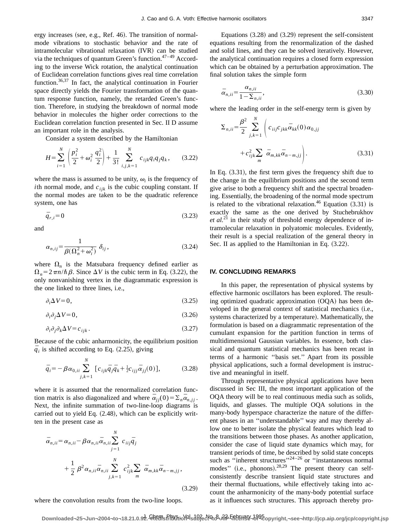ergy increases (see, e.g., Ref. 46). The transition of normalmode vibrations to stochastic behavior and the rate of intramolecular vibrational relaxation (IVR) can be studied via the techniques of quantum Green's function. $47-49$  According to the inverse Wick rotation, the analytical continuation of Euclidean correlation functions gives real time correlation function.36,37 In fact, the analytical continuation in Fourier space directly yields the Fourier transformation of the quantum response function, namely, the retarded Green's function. Therefore, in studying the breakdown of normal mode behavior in molecules the higher order corrections to the Euclidean correlation function presented in Sec. II D assume an important role in the analysis.

Consider a system described by the Hamiltonian

$$
H = \sum_{i=1}^{N} \left( \frac{p_i^2}{2} + \omega_i^2 \frac{q_i^2}{2} \right) + \frac{1}{3!} \sum_{i,j,k=1}^{N} c_{ijk} q_i q_j q_k, \qquad (3.22)
$$

where the mass is assumed to be unity,  $\omega_i$  is the frequency of *i*th normal mode, and  $c_{ijk}$  is the cubic coupling constant. If the normal modes are taken to be the quadratic reference system, one has

$$
\bar{q}_{r,i} = 0 \tag{3.23}
$$

and

$$
\alpha_{n,ij} = \frac{1}{\beta(\Omega_n^2 + \omega_i^2)} \delta_{ij},\tag{3.24}
$$

where  $\Omega_n$  is the Matsubara frequency defined earlier as  $\Omega_n = 2\pi n/\hbar \beta$ . Since  $\Delta V$  is the cubic term in Eq. (3.22), the only nonvanishing vertex in the diagrammatic expression is the one linked to three lines, i.e.,

$$
\partial_i \Delta V = 0,\tag{3.25}
$$

$$
\partial_i \partial_j \Delta V = 0,\tag{3.26}
$$

$$
\partial_i \partial_j \partial_k \Delta V = c_{ijk} \,. \tag{3.27}
$$

Because of the cubic anharmonicity, the equilibrium position  $\bar{q}_i$  is shifted according to Eq. (2.25), giving

$$
\bar{q}_i = -\beta \alpha_{0,ii} \sum_{j,k=1}^N \left[ c_{ijk} \bar{q}_j \bar{q}_k + \frac{1}{2} c_{ijj} \bar{\alpha}_{jj}(0) \right],\tag{3.28}
$$

where it is assumed that the renormalized correlation function matrix is also diagonalized and where  $\bar{\alpha}_{jj}(0) = \sum_{n} \bar{\alpha}_{n, jj}$ . Next, the infinite summation of two-line-loop diagrams is carried out to yield Eq.  $(2.48)$ , which can be explicitly written in the present case as

$$
\bar{\alpha}_{n,ii} = \alpha_{n,ii} - \beta \alpha_{n,ii} \bar{\alpha}_{n,ii} \sum_{j=1}^{N} c_{ijj} \bar{q}_j
$$
  
+ 
$$
\frac{1}{2} \beta^2 \alpha_{n,ii} \bar{\alpha}_{n,ii} \sum_{j,k=1}^{N} c_{ijk}^2 \sum_{m} \bar{\alpha}_{m,kk} \bar{\alpha}_{n-m,jj},
$$
(3.29)

where the convolution results from the two-line loops.

Equations  $(3.28)$  and  $(3.29)$  represent the self-consistent equations resulting from the renormalization of the dashed and solid lines, and they can be solved iteratively. However, the analytical continuation requires a closed form expression which can be obtained by a perturbation approximation. The final solution takes the simple form

$$
\bar{\alpha}_{n,ii} = \frac{\alpha_{n,ii}}{1 - \sum_{n,ii}},\tag{3.30}
$$

where the leading order in the self-energy term is given by

$$
\Sigma_{n,ii} = \frac{\beta^2}{2} \sum_{j,k=1}^N \left( c_{ij} c_{jkk} \bar{\alpha}_{kk}(0) \alpha_{0,jj} + c_{ijk}^2 \sum_m \bar{\alpha}_{m,kk} \bar{\alpha}_{n-m,jj} \right).
$$
\n(3.31)

In Eq.  $(3.31)$ , the first term gives the frequency shift due to the change in the equilibrium positions and the second term give arise to both a frequency shift and the spectral broadening. Essentially, the broadening of the normal mode spectrum is related to the vibrational relaxation.<sup>46</sup> Equation  $(3.31)$  is exactly the same as the one derived by Stuchebrukhov *et al.*<sup>21</sup> in their study of threshold energy dependence of intramolecular relaxation in polyatomic molecules. Evidently, their result is a special realization of the general theory in Sec. II as applied to the Hamiltonian in Eq.  $(3.22)$ .

## **IV. CONCLUDING REMARKS**

In this paper, the representation of physical systems by effective harmonic oscillators has been explored. The resulting optimized quadratic approximation  $(OQA)$  has been developed in the general context of statistical mechanics (i.e., systems characterized by a temperature). Mathematically, the formulation is based on a diagrammatic representation of the cumulant expansion for the partition function in terms of multidimensional Gaussian variables. In essence, both classical and quantum statistical mechanics has been recast in terms of a harmonic ''basis set.'' Apart from its possible physical applications, such a formal development is instructive and meaningful in itself.

Through representative physical applications have been discussed in Sec III, the most important application of the OQA theory will be to real continuous media such as solids, liquids, and glasses. The multiple OQA solutions in the many-body hyperspace characterize the nature of the different phases in an ''understandable'' way and may thereby allow one to better isolate the physical features which lead to the transitions between those phases. As another application, consider the case of liquid state dynamics which may, for transient periods of time, be described by solid state concepts such as "inherent structures" $24-26$  or "instantaneous normal modes" (i.e., phonons). $28,29$  The present theory can selfconsistently describe transient liquid state structures and their thermal fluctuations, while effectively taking into account the anharmonicity of the many-body potential surface as it influences such structures. This approach thereby pro